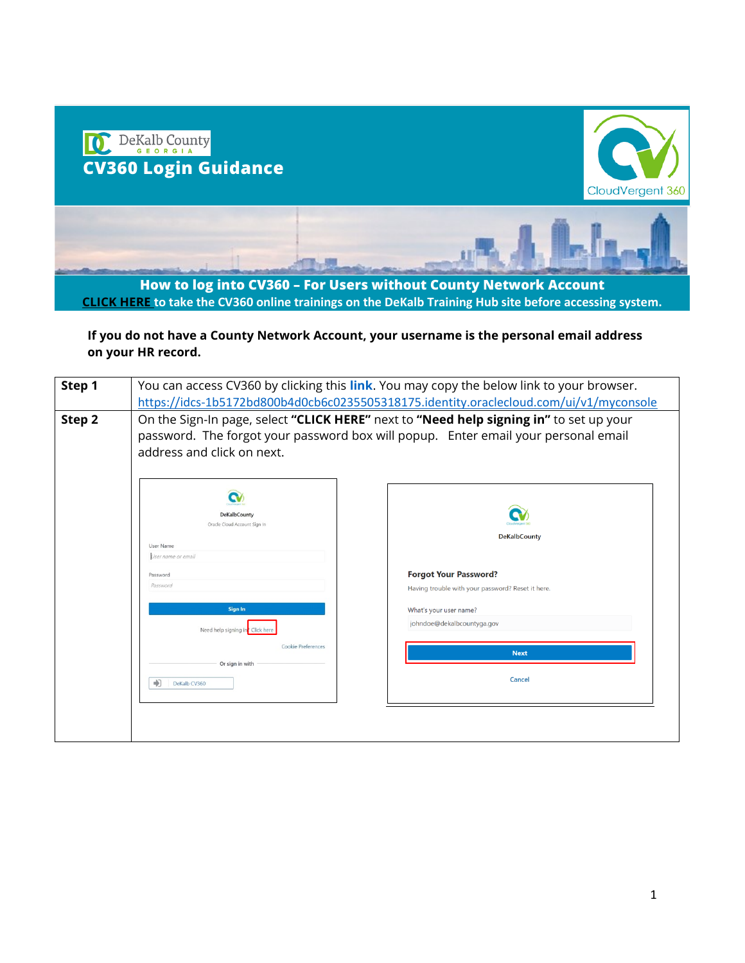

**How to log into CV360 – For Users without County Network Account [CLICK HERE](https://www.dekalbcountyga.gov/information-technology/cv360-training) to take the CV360 online trainings on the DeKalb Training Hub site before accessing system.**

**If you do not have a County Network Account, your username is the personal email address on your HR record.** 

| Step 1 | You can access CV360 by clicking this link. You may copy the below link to your browser.                                                                                                                   |                                                                                                                                                                                 |
|--------|------------------------------------------------------------------------------------------------------------------------------------------------------------------------------------------------------------|---------------------------------------------------------------------------------------------------------------------------------------------------------------------------------|
|        |                                                                                                                                                                                                            | https://idcs-1b5172bd800b4d0cb6c0235505318175.identity.oraclecloud.com/ui/v1/myconsole                                                                                          |
| Step 2 | On the Sign-In page, select "CLICK HERE" next to "Need help signing in" to set up your<br>password. The forgot your password box will popup. Enter email your personal email<br>address and click on next. |                                                                                                                                                                                 |
|        | DeKalbCounty<br>Oracle Cloud Account Sign In<br>User Name<br>User name or email<br>Password<br>Password<br>Sign In<br>Need help signing in" Click here<br>Cookie Preferences                               | <b>DeKalbCounty</b><br><b>Forgot Your Password?</b><br>Having trouble with your password? Reset it here.<br>What's your user name?<br>johndoe@dekalbcountyga.gov<br><b>Next</b> |
|        | Or sign in with<br>×,<br>DeKalb CV360                                                                                                                                                                      | <b>Cancel</b>                                                                                                                                                                   |
|        |                                                                                                                                                                                                            |                                                                                                                                                                                 |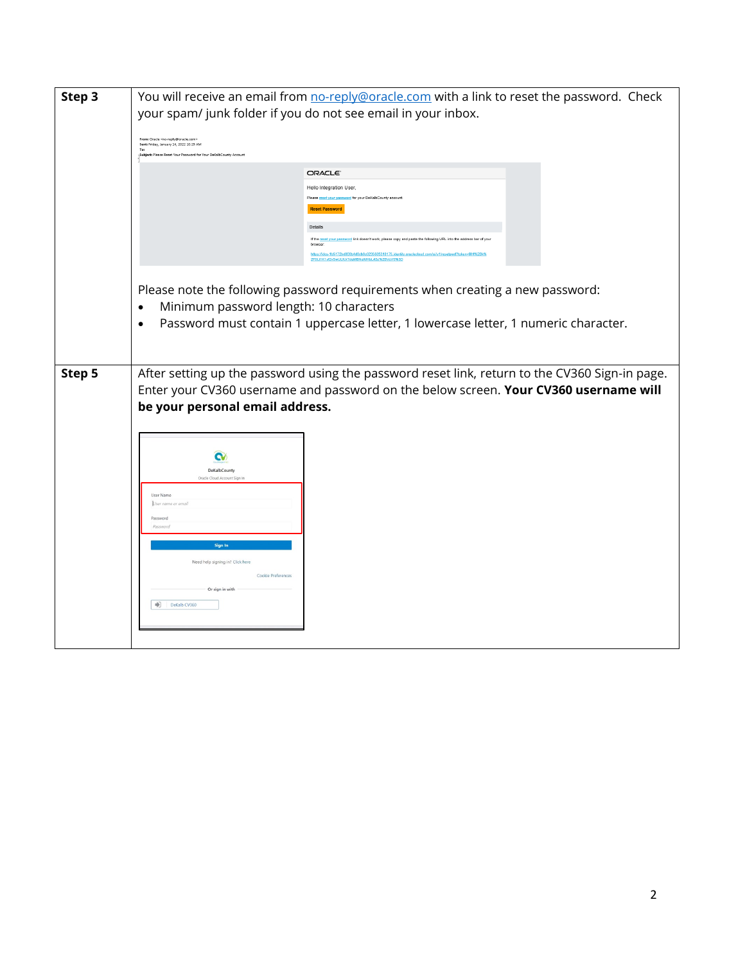| Step 3 | You will receive an email from no-reply@oracle.com with a link to reset the password. Check<br>your spam/ junk folder if you do not see email in your inbox.<br>From: Oracle <no-reply@oracle.com><br/>Sent: Friday, January 14, 2022 10:29 AM<br/>Top<br/>Subject: Please Reset Your Password for Your DeKalbCounty Account<br/><b>ORACLE</b><br/>Hello Integration User,<br/>Please reset your password for your DeKalbCounty accoun<br/><b>Reset Password</b><br/>Details<br/>t your password link doesn't work, please copy and paste the following URL into the address bar of yo<br/>If the re<br/>browser.</no-reply@oracle.com> |  |
|--------|-----------------------------------------------------------------------------------------------------------------------------------------------------------------------------------------------------------------------------------------------------------------------------------------------------------------------------------------------------------------------------------------------------------------------------------------------------------------------------------------------------------------------------------------------------------------------------------------------------------------------------------------|--|
|        | https://idcs-1b5172bd800b4d0cb6c0235505318175.identity.ora<br>2F0Lt1K1vf2vSwULIUr7dgMBNgWHbLrt3z%2BVzV0%3D<br>Please note the following password requirements when creating a new password:<br>Minimum password length: 10 characters<br>$\bullet$<br>Password must contain 1 uppercase letter, 1 lowercase letter, 1 numeric character.<br>$\bullet$                                                                                                                                                                                                                                                                                   |  |
| Step 5 | After setting up the password using the password reset link, return to the CV360 Sign-in page.<br>Enter your CV360 username and password on the below screen. Your CV360 username will<br>be your personal email address.<br>œ<br>DeKalbCounty<br>Oracle Cloud Account Sign I<br>User Name<br>User name or email<br>Password<br>Password<br>Sign In<br>Need help signing in? Click here<br>Cookie Preferences<br>Or sign in with<br>$\Rightarrow$<br>DeKalb CV360                                                                                                                                                                       |  |